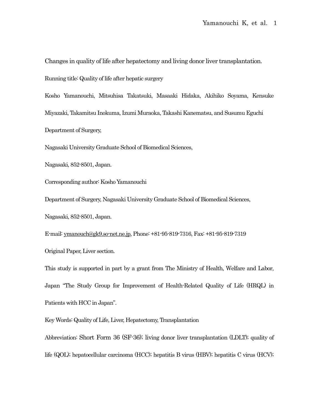Changes in quality of life after hepatectomy and living donor liver transplantation.

Running title: Quality of life after hepatic surgery

Kosho Yamanouchi, Mitsuhisa Takatsuki, Masaaki Hidaka, Akihiko Soyama, Kensuke Miyazaki, Takamitsu Inokuma, Izumi Muraoka, Takashi Kanematsu, and Susumu Eguchi Department of Surgery,

Nagasaki University Graduate School of Biomedical Sciences,

Nagasaki, 852-8501, Japan.

Corresponding author: Kosho Yamanouchi

Department of Surgery, Nagasaki University Graduate School of Biomedical Sciences,

Nagasaki, 852-8501, Japan.

E-mail[: ymanouch@gk9.so-net.ne.jp,](mailto:ymanouch@gk9.so-net.ne.jp) Phone: +81-95-819-7316, Fax: +81-95-819-7319 Original Paper, Liver section.

This study is supported in part by a grant from The Ministry of Health, Welfare and Labor, Japan "The Study Group for Improvement of Health-Related Quality of Life (HRQL) in Patients with HCC in Japan".

Key Words: Quality of Life, Liver, Hepatectomy, Transplantation

Abbreviation: Short Form 36 (SF-36); living donor liver transplantation (LDLT); quality of life (QOL); hepatocellular carcinoma (HCC); hepatitis B virus (HBV); hepatitis C virus (HCV);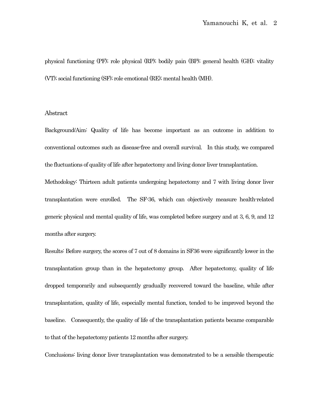physical functioning (PF); role physical (RP); bodily pain (BP); general health (GH); vitality (VT); social functioning (SF); role emotional (RE); mental health (MH).

## Abstract

Background/Aim: Quality of life has become important as an outcome in addition to conventional outcomes such as disease-free and overall survival. In this study, we compared the fluctuations of quality of life after hepatectomy and living donor liver transplantation.

Methodology: Thirteen adult patients undergoing hepatectomy and 7 with living donor liver transplantation were enrolled. The SF-36, which can objectively measure health-related generic physical and mental quality of life, was completed before surgery and at 3, 6, 9, and 12 months after surgery.

Results: Before surgery, the scores of 7 out of 8 domains in SF36 were significantly lower in the transplantation group than in the hepatectomy group. After hepatectomy, quality of life dropped temporarily and subsequently gradually recovered toward the baseline, while after transplantation, quality of life, especially mental function, tended to be improved beyond the baseline. Consequently, the quality of life of the transplantation patients became comparable to that of the hepatectomy patients 12 months after surgery.

Conclusions: living donor liver transplantation was demonstrated to be a sensible therapeutic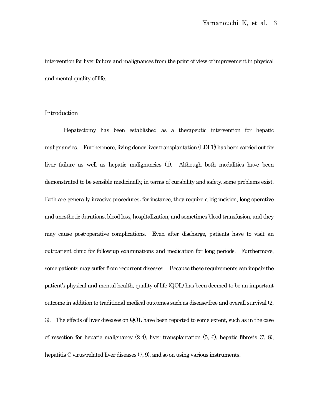intervention for liver failure and malignances from the point of view of improvement in physical and mental quality of life.

# Introduction

Hepatectomy has been established as a therapeutic intervention for hepatic malignancies. Furthermore, living donor liver transplantation (LDLT) has been carried out for liver failure as well as hepatic malignancies (1). Although both modalities have been demonstrated to be sensible medicinally, in terms of curability and safety, some problems exist. Both are generally invasive procedures; for instance, they require a big incision, long operative and anesthetic durations, blood loss, hospitalization, and sometimes blood transfusion, and they may cause post-operative complications. Even after discharge, patients have to visit an out-patient clinic for follow-up examinations and medication for long periods. Furthermore, some patients may suffer from recurrent diseases. Because these requirements can impair the patient's physical and mental health, quality of life (QOL) has been deemed to be an important outcome in addition to traditional medical outcomes such as disease-free and overall survival (2, 3). The effects of liver diseases on QOL have been reported to some extent, such as in the case of resection for hepatic malignancy (2-4), liver transplantation (5, 6), hepatic fibrosis (7, 8), hepatitis C virus-related liver diseases  $(7, 9)$ , and so on using various instruments.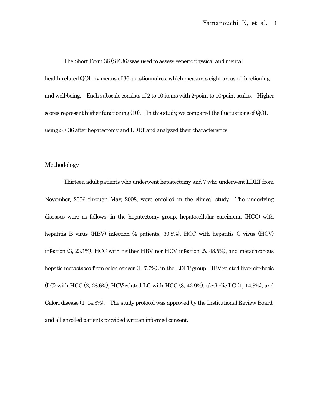The Short Form 36 (SF-36) was used to assess generic physical and mental

health-related QOL by means of 36 questionnaires, which measures eight areas of functioning and well-being. Each subscale consists of 2 to 10 items with 2-point to 10-point scales. Higher scores represent higher functioning (10). In this study, we compared the fluctuations of QOL using SF-36 after hepatectomy and LDLT and analyzed their characteristics.

# Methodology

Thirteen adult patients who underwent hepatectomy and 7 who underwent LDLT from November, 2006 through May, 2008, were enrolled in the clinical study. The underlying diseases were as follows: in the hepatectomy group, hepatocellular carcinoma (HCC) with hepatitis B virus (HBV) infection (4 patients, 30.8%), HCC with hepatitis C virus (HCV) infection (3, 23.1%), HCC with neither HBV nor HCV infection (5, 48.5%), and metachronous hepatic metastases from colon cancer (1, 7.7%); in the LDLT group, HBV-related liver cirrhosis (LC) with HCC (2, 28.6%), HCV-related LC with HCC (3, 42.9%), alcoholic LC (1, 14.3%), and Calori disease (1, 14.3%). The study protocol was approved by the Institutional Review Board, and all enrolled patients provided written informed consent.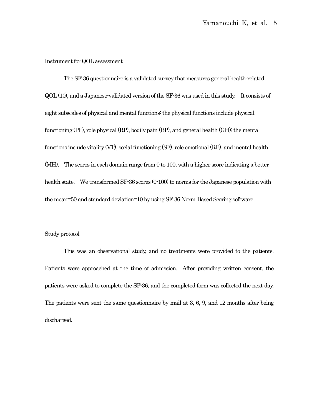#### Instrument for QOL assessment

The SF-36 questionnaire is a validated survey that measures general health-related QOL(10), and a Japanese-validated version of the SF-36 was used in this study. It consists of eight subscales of physical and mental functions: the physical functions include physical functioning (PF), role physical (RP), bodily pain (BP), and general health (GH); the mental functions include vitality (VT), social functioning (SF), role emotional (RE), and mental health (MH). The scores in each domain range from 0 to 100, with a higher score indicating a better health state. We transformed SF-36 scores (0-100) to norms for the Japanese population with the mean=50 and standard deviation=10 by using SF-36 Norm-Based Scoring software.

#### Study protocol

This was an observational study, and no treatments were provided to the patients. Patients were approached at the time of admission. After providing written consent, the patients were asked to complete the SF-36, and the completed form was collected the next day. The patients were sent the same questionnaire by mail at 3, 6, 9, and 12 months after being discharged.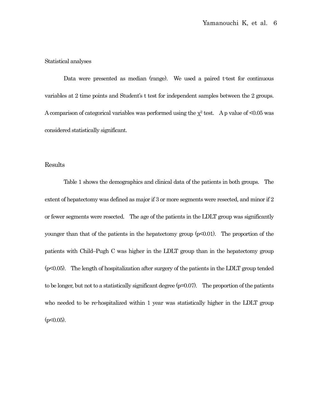## Statistical analyses

Data were presented as median (range). We used a paired t-test for continuous variables at 2 time points and Student's t test for independent samples between the 2 groups. A comparison of categorical variables was performed using the  $\chi^2$  test. A p value of <0.05 was considered statistically significant.

# Results

Table 1 shows the demographics and clinical data of the patients in both groups. The extent of hepatectomy was defined as major if 3 or more segments were resected, and minor if 2 or fewer segments were resected. The age of the patients in the LDLT group was significantly younger than that of the patients in the hepatectomy group (p<0.01). The proportion of the patients with Child–Pugh C was higher in the LDLT group than in the hepatectomy group (p<0.05). The length of hospitalization after surgery of the patients in the LDLT group tended to be longer, but not to a statistically significant degree (p=0.07). The proportion of the patients who needed to be re-hospitalized within 1 year was statistically higher in the LDLT group  $(p<0.05)$ .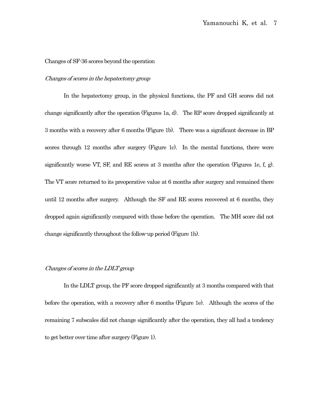#### Changes of SF-36 scores beyond the operation

## Changes of scores in the hepatectomy group

In the hepatectomy group, in the physical functions, the PF and GH scores did not change significantly after the operation (Figures 1a, d). The RP score dropped significantly at 3 months with a recovery after 6 months (Figure 1b). There was a significant decrease in BP scores through 12 months after surgery (Figure 1c). In the mental functions, there were significantly worse VT, SF, and RE scores at 3 months after the operation (Figures 1e, f, g). The VT score returned to its preoperative value at 6 months after surgery and remained there until 12 months after surgery. Although the SF and RE scores recovered at 6 months, they dropped again significantly compared with those before the operation. The MH score did not change significantly throughout the follow-up period (Figure 1h).

#### Changes of scores in the LDLT group

In the LDLT group, the PF score dropped significantly at 3 months compared with that before the operation, with a recovery after 6 months (Figure 1e). Although the scores of the remaining 7 subscales did not change significantly after the operation, they all had a tendency to get better over time after surgery (Figure 1).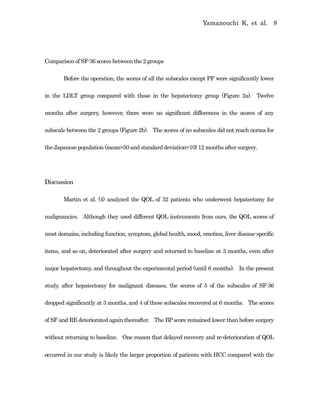## Comparison of SF-36 scores between the 2 groups

Before the operation, the scores of all the subscales except PF were significantly lower in the LDLT group compared with those in the hepatectomy group (Figure 2a). Twelve months after surgery, however, there were no significant differences in the scores of any subscale between the 2 groups (Figure 2b). The scores of no subscales did not reach norms for the Japanese population (mean=50 and standard deviation=10) 12 months after surgery.

## **Discussion**

Martin et al. (4) analyzed the QOL of 32 patients who underwent hepatectomy for malignancies. Although they used different QOL instruments from ours, the QOL scores of most domains, including function, symptom, global health, mood, emotion, liver disease-specific items, and so on, deteriorated after surgery and returned to baseline at 3 months, even after major hepatectomy, and throughout the experimental period (until 6 months). In the present study, after hepatectomy for malignant diseases, the scores of 5 of the subscales of SF-36 dropped significantly at 3 months, and 4 of these subscales recovered at 6 months. The scores of SF and RE deteriorated again thereafter. The BP score remained lower than before surgery without returning to baseline. One reason that delayed recovery and re-deterioration of QOL occurred in our study is likely the larger proportion of patients with HCC compared with the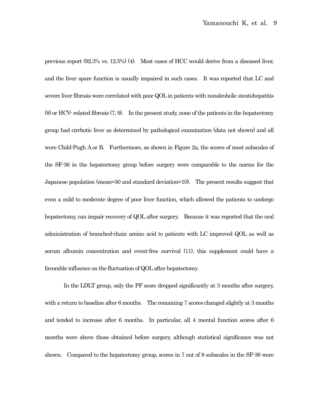previous report (92.3% vs. 12.5%) (4). Most cases of HCC would derive from a diseased liver, and the liver spare function is usually impaired in such cases. It was reported that LC and severe liver fibrosis were correlated with poor QOL in patients with nonalcoholic steatohepatitis (8) or HCV- related fibrosis (7, 9). In the present study, none of the patients in the hepatectomy group had cirrhotic liver as determined by pathological examination (data not shown) and all were Child-Pugh A or B. Furthermore, as shown in Figure 2a, the scores of most subscales of the SF-36 in the hepatectomy group before surgery were comparable to the norms for the Japanese population (mean=50 and standard deviation=10). The present results suggest that even a mild to moderate degree of poor liver function, which allowed the patients to undergo hepatectomy, can impair recovery of QOL after surgery. Because it was reported that the oral administration of branched-chain amino acid to patients with LC improved QOL as well as serum albumin concentration and event-free survival (11), this supplement could have a favorable influence on the fluctuation of QOL after hepatectomy.

In the LDLT group, only the PF score dropped significantly at 3 months after surgery, with a return to baseline after 6 months. The remaining 7 scores changed slightly at 3 months and tended to increase after 6 months. In particular, all 4 mental function scores after 6 months were above those obtained before surgery, although statistical significance was not shown. Compared to the hepatectomy group, scores in 7 out of 8 subscales in the SF-36 were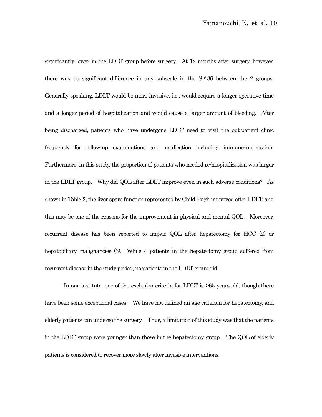significantly lower in the LDLT group before surgery. At 12 months after surgery, however, there was no significant difference in any subscale in the SF-36 between the 2 groups. Generally speaking, LDLT would be more invasive, i.e., would require a longer operative time and a longer period of hospitalization and would cause a larger amount of bleeding. After being discharged, patients who have undergone LDLT need to visit the out-patient clinic frequently for follow-up examinations and medication including immunosuppression. Furthermore, in this study, the proportion of patients who needed re-hospitalization was larger in the LDLT group. Why did QOL after LDLT improve even in such adverse conditions? As shown in Table 2, the liver spare function represented by Child-Pugh improved after LDLT, and this may be one of the reasons for the improvement in physical and mental QOL. Moreover, recurrent disease has been reported to impair QOL after hepatectomy for HCC (2) or hepatobiliary malignancies (3). While 4 patients in the hepatectomy group suffered from recurrent disease in the study period, no patients in the LDLT group did.

In our institute, one of the exclusion criteria for LDLT is >65 years old, though there have been some exceptional cases. We have not defined an age criterion for hepatectomy, and elderly patients can undergo the surgery. Thus, a limitation of this study was that the patients in the LDLT group were younger than those in the hepatectomy group. The QOL of elderly patients is considered to recover more slowly after invasive interventions.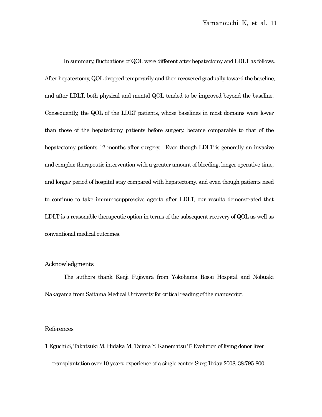In summary, fluctuations of QOL were different after hepatectomy and LDLT as follows. After hepatectomy, QOL dropped temporarily and then recovered gradually toward the baseline, and after LDLT, both physical and mental QOL tended to be improved beyond the baseline. Consequently, the QOL of the LDLT patients, whose baselines in most domains were lower than those of the hepatectomy patients before surgery, became comparable to that of the hepatectomy patients 12 months after surgery. Even though LDLT is generally an invasive and complex therapeutic intervention with a greater amount of bleeding, longer operative time, and longer period of hospital stay compared with hepatectomy, and even though patients need to continue to take immunosuppressive agents after LDLT, our results demonstrated that LDLT is a reasonable therapeutic option in terms of the subsequent recovery of QOL as well as conventional medical outcomes.

# Acknowledgments

The authors thank Kenji Fujiwara from Yokohama Rosai Hospital and Nobuaki Nakayama from Saitama Medical University for critical reading of the manuscript.

## References

1 Eguchi S, Takatsuki M, Hidaka M, Tajima Y, Kanematsu T: Evolution of living donor liver transplantation over 10 years: experience of a single center. Surg Today 2008; 38:795-800.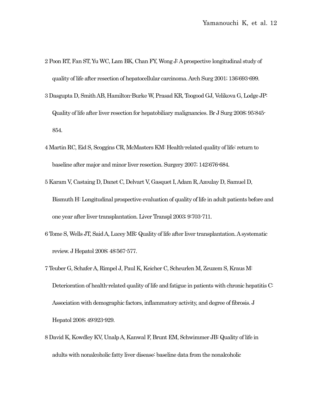- 2 Poon RT, Fan ST, Yu WC, Lam BK, Chan FY, Wong J:A prospective longitudinal study of quality of life after resection of hepatocellular carcinoma. Arch Surg 2001; 136:693-699.
- 3 Dasgupta D, Smith AB, Hamilton-Burke W, Prasad KR, Toogood GJ, Velikova G, Lodge JP: Quality of life after liver resection for hepatobiliary malignancies. Br J Surg 2008; 95:845- 854.
- 4 Martin RC, Eid S, Scoggins CR, McMasters KM: Health-related quality of life: return to baseline after major and minor liver resection. Surgery 2007; 142:676-684.
- 5 Karam V, Castaing D, Danet C, Delvart V, Gasquet I, Adam R, Azoulay D, Samuel D, Bismuth H: Longitudinal prospective evaluation of quality of life in adult patients before and one year after liver transplantation. Liver Transpl 2003; 9:703-711.
- 6 Tome S, Wells JT, Said A, Lucey MR: Quality of life after liver transplantation. A systematic review. J Hepatol 2008; 48:567-577.
- 7 Teuber G, Schafer A, Rimpel J, Paul K, Keicher C, Scheurlen M, Zeuzem S, Kraus M: Deterioration of health-related quality of life and fatigue in patients with chronic hepatitis C: Association with demographic factors, inflammatory activity, and degree of fibrosis. J Hepatol 2008; 49:923-929.
- 8 David K, Kowdley KV, Unalp A, Kanwal F, Brunt EM, Schwimmer JB: Quality of life in adults with nonalcoholic fatty liver disease: baseline data from the nonalcoholic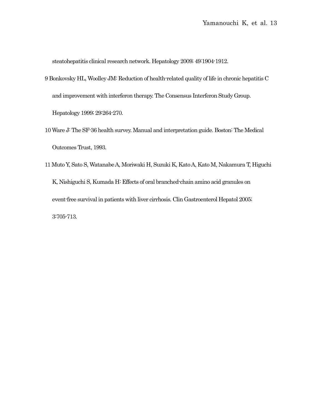steatohepatitis clinical research network. Hepatology 2009; 49:1904-1912.

- 9 Bonkovsky HL, Woolley JM: Reduction of health-related quality of life in chronic hepatitis C and improvement with interferon therapy. The Consensus Interferon Study Group. Hepatology 1999; 29:264-270.
- 10 Ware J: The SF-36 health survey. Manual and interpretation guide. Boston: The Medical Outcomes Trust, 1993.
- 11 Muto Y, Sato S, Watanabe A, Moriwaki H, Suzuki K, Kato A, Kato M, Nakamura T, Higuchi K, Nishiguchi S, Kumada H: Effects of oral branched-chain amino acid granules on event-free survival in patients with liver cirrhosis. Clin Gastroenterol Hepatol 2005; 3:705-713.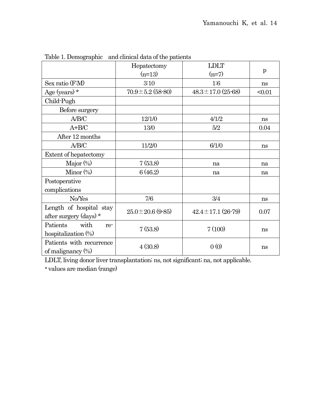|                          | Hepatectomy            | <b>LDLT</b>               | p      |
|--------------------------|------------------------|---------------------------|--------|
|                          | $(n=13)$               | $(n=7)$                   |        |
| Sex ratio (F:M)          | 3:10                   | 1:6                       | ns     |
| Age (years) *            | $70.9 \pm 5.2$ (58-80) | $48.3 \pm 17.0$ (25-68)   | < 0.01 |
| Child-Pugh               |                        |                           |        |
| Before surgery           |                        |                           |        |
| A/B/C                    | 12/1/0                 | 4/1/2                     | ns     |
| $A + B/C$                | 13/0                   | 5/2                       | 0.04   |
| After 12 months          |                        |                           |        |
| A/B/C                    | 11/2/0                 | 6/1/0                     | ns     |
| Extent of hepatectomy    |                        |                           |        |
| Major $(\%)$             | 7(53.8)                | na                        | na     |
| Minor $(\%)$             | 6(46.2)                | na                        | na     |
| Postoperative            |                        |                           |        |
| complications            |                        |                           |        |
| No/Yes                   | 7/6                    | 3/4                       | ns     |
| Length of hospital stay  | $25.0 \pm 20.6$ (9-85) | $42.4 \pm 17.1 (26 - 79)$ | 0.07   |
| after surgery (days) *   |                        |                           |        |
| Patients<br>with<br>re-  | 7(53.8)                | 7(100)                    | ns     |
| hospitalization $(\%)$   |                        |                           |        |
| Patients with recurrence | 4(30.8)                | 0(0)                      | ns     |
| of malignancy $(\%)$     |                        |                           |        |

Table 1. Demographic and clinical data of the patients

LDLT, living donor liver transplantation; ns, not significant; na, not applicable.

\* values are median (range)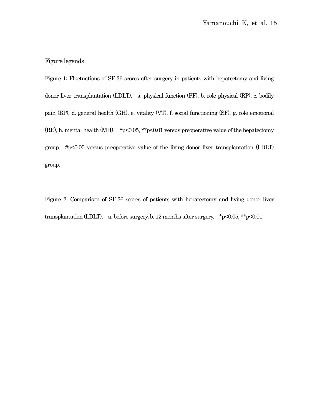# Figure legends

Figure 1: Fluctuations of SF-36 scores after surgery in patients with hepatectomy and living donor liver transplantation (LDLT). a. physical function (PF), b. role physical (RP), c. bodily pain (BP), d. general health (GH), e. vitality (VT), f. social functioning (SF), g. role emotional (RE), h. mental health (MH). \*p<0.05, \*\*p<0.01 versus preoperative value of the hepatectomy group. #p<0.05 versus preoperative value of the living donor liver transplantation (LDLT) group.

Figure 2: Comparison of SF-36 scores of patients with hepatectomy and living donor liver transplantation (LDLT). a. before surgery, b. 12 months after surgery.  $*p<0.05$ ,  $*p<0.01$ .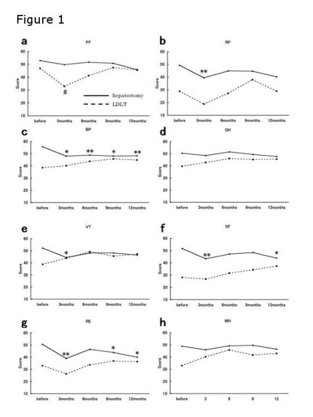# Figure 1